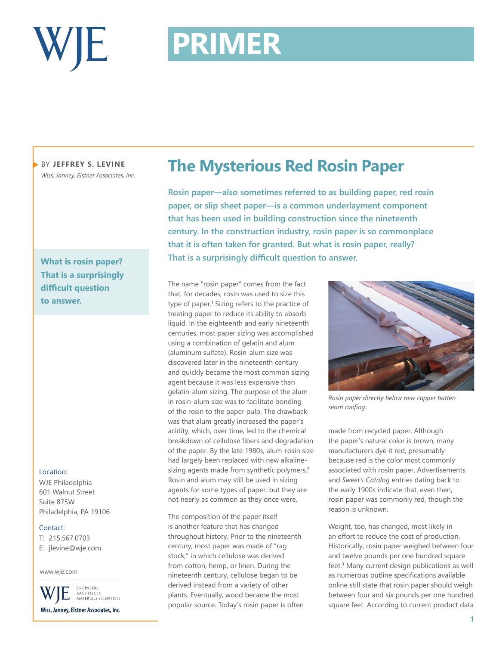

# **PRIMER PRIMER**

BY **JEFFREY S. LEVINE** *Wiss, Janney, Elstner Associates, Inc.*

**What is rosin paper? That is a surprisingly difficult question to answer.**

## Location:

WJE Philadelphia 601 Walnut Street Suite 875W Philadelphia, PA 19106

### Contact:

T: 215.567.0703

E: jlevine@wje.com

### www.wje.com

ENGINEERS ARCHITECTS<br>MATERIALS SCIENTISTS Wiss, Janney, Elstner Associates, Inc.

## **The Mysterious Red Rosin Paper**

**Rosin paper—also sometimes referred to as building paper, red rosin paper, or slip sheet paper—is a common underlayment component that has been used in building construction since the nineteenth century. In the construction industry, rosin paper is so commonplace that it is often taken for granted. But what is rosin paper, really? That is a surprisingly difficult question to answer.** 

The name "rosin paper" comes from the fact that, for decades, rosin was used to size this type of paper.<sup>1</sup> Sizing refers to the practice of treating paper to reduce its ability to absorb liquid. In the eighteenth and early nineteenth centuries, most paper sizing was accomplished using a combination of gelatin and alum (aluminum sulfate). Rosin-alum size was discovered later in the nineteenth century and quickly became the most common sizing agent because it was less expensive than gelatin-alum sizing. The purpose of the alum in rosin-alum size was to facilitate bonding of the rosin to the paper pulp. The drawback was that alum greatly increased the paper's acidity, which, over time, led to the chemical breakdown of cellulose fibers and degradation of the paper. By the late 1980s, alum-rosin size had largely been replaced with new alkalinesizing agents made from synthetic polymers.**<sup>2</sup>** Rosin and alum may still be used in sizing agents for some types of paper, but they are not nearly as common as they once were.

The composition of the paper itself is another feature that has changed throughout history. Prior to the nineteenth century, most paper was made of "rag stock," in which cellulose was derived from cotton, hemp, or linen. During the nineteenth century, cellulose began to be derived instead from a variety of other plants. Eventually, wood became the most popular source. Today's rosin paper is often



*Rosin paper directly below new copper batten seam roofing.*

made from recycled paper. Although the paper's natural color is brown, many manufacturers dye it red, presumably because red is the color most commonly associated with rosin paper. Advertisements and *Sweet's Catalog* entries dating back to the early 1900s indicate that, even then, rosin paper was commonly red, though the reason is unknown.

Weight, too, has changed, most likely in an effort to reduce the cost of production. Historically, rosin paper weighed between four and twelve pounds per one hundred square feet.**<sup>3</sup>** Many current design publications as well as numerous outline specifications available online still state that rosin paper should weigh between four and six pounds per one hundred square feet. According to current product data